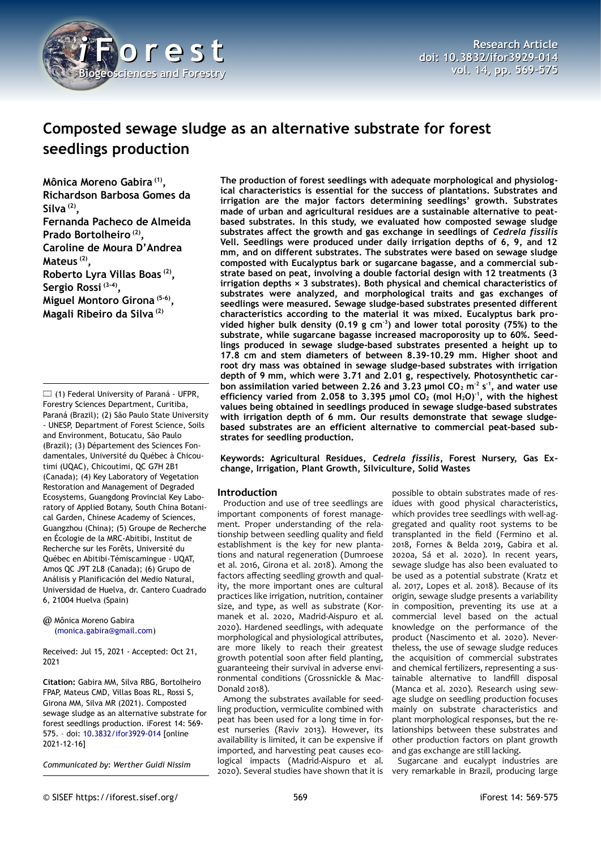

# **Composted sewage sludge as an alternative substrate for forest seedlings production**

**Mônica Moreno Gabira (1) , Richardson Barbosa Gomes da Silva (2) , Fernanda Pacheco de Almeida Prado Bortolheiro (2) , Caroline de Moura D'Andrea Mateus (2) , Roberto Lyra Villas Boas (2) , Sergio Rossi (3-4) , Miguel Montoro Girona (5-6) , Magali Ribeiro da Silva (2)**

 $\boxdot$  (1) Federal University of Paraná - UFPR, Forestry Sciences Department, Curitiba, Paraná (Brazil); (2) São Paulo State University - UNESP, Department of Forest Science, Soils and Environment, Botucatu, São Paulo (Brazil); (3) Département des Sciences Fondamentales, Université du Québec à Chicoutimi (UQAC), Chicoutimi, QC G7H 2B1 (Canada); (4) Key Laboratory of Vegetation Restoration and Management of Degraded Ecosystems, Guangdong Provincial Key Laboratory of Applied Botany, South China Botanical Garden, Chinese Academy of Sciences, Guangzhou (China); (5) Groupe de Recherche en Écologie de la MRC-Abitibi, Institut de Recherche sur les Forêts, Université du Québec en Abitibi-Témiscamingue - UQAT, Amos QC J9T 2L8 (Canada); (6) Grupo de Análisis y Planificación del Medio Natural, Universidad de Huelva, dr. Cantero Cuadrado 6, 21004 Huelva (Spain)

@ Mônica Moreno Gabira ([monica.gabira@gmail.com](mailto:monica.gabira@gmail.com))

Received: Jul 15, 2021 - Accepted: Oct 21, 2021

**Citation:** Gabira MM, Silva RBG, Bortolheiro FPAP, Mateus CMD, Villas Boas RL, Rossi S, Girona MM, Silva MR (2021). Composted sewage sludge as an alternative substrate for forest seedlings production. iForest 14: 569- 575. – doi: [10.3832/ifor3929-014](http://www.sisef.it/iforest/contents/?id=ifor3929-014) [online 2021-12-16]

*Communicated by: Werther Guidi Nissim*

**The production of forest seedlings with adequate morphological and physiological characteristics is essential for the success of plantations. Substrates and irrigation are the major factors determining seedlings' growth. Substrates made of urban and agricultural residues are a sustainable alternative to peatbased substrates. In this study, we evaluated how composted sewage sludge substrates affect the growth and gas exchange in seedlings of** *Cedrela fissilis* **Vell. Seedlings were produced under daily irrigation depths of 6, 9, and 12 mm, and on different substrates. The substrates were based on sewage sludge composted with Eucalyptus bark or sugarcane bagasse, and a commercial substrate based on peat, involving a double factorial design with 12 treatments (3 irrigation depths × 3 substrates). Both physical and chemical characteristics of substrates were analyzed, and morphological traits and gas exchanges of seedlings were measured. Sewage sludge-based substrates presented different characteristics according to the material it was mixed. Eucalyptus bark provided higher bulk density (0.19 g cm-3) and lower total porosity (75%) to the substrate, while sugarcane bagasse increased macroporosity up to 60%. Seedlings produced in sewage sludge-based substrates presented a height up to 17.8 cm and stem diameters of between 8.39-10.29 mm. Higher shoot and root dry mass was obtained in sewage sludge-based substrates with irrigation depth of 9 mm, which were 3.71 and 2.01 g, respectively. Photosynthetic carbon assimilation varied between 2.26 and 3.23 µmol CO2 m-2 s-1, and water use efficiency varied from 2.058 to 3.395 µmol CO2 (mol H2O)-1, with the highest values being obtained in seedlings produced in sewage sludge-based substrates with irrigation depth of 6 mm. Our results demonstrate that sewage sludgebased substrates are an efficient alternative to commercial peat-based substrates for seedling production.**

**Keywords: Agricultural Residues,** *Cedrela fissilis***, Forest Nursery, Gas Exchange, Irrigation, Plant Growth, Silviculture, Solid Wastes**

## **Introduction**

Production and use of tree seedlings are important components of forest management. Proper understanding of the relationship between seedling quality and field establishment is the key for new plantations and natural regeneration (Dumroese et al. 2016, Girona et al. 2018). Among the factors affecting seedling growth and quality, the more important ones are cultural practices like irrigation, nutrition, container size, and type, as well as substrate (Kormanek et al. 2020, Madrid-Aispuro et al. 2020). Hardened seedlings, with adequate morphological and physiological attributes, are more likely to reach their greatest growth potential soon after field planting, guaranteeing their survival in adverse environmental conditions (Grossnickle & Mac-Donald 2018).

Among the substrates available for seedling production, vermiculite combined with peat has been used for a long time in forest nurseries (Raviv 2013). However, its availability is limited, it can be expensive if imported, and harvesting peat causes ecological impacts (Madrid-Aispuro et al. 2020). Several studies have shown that it is

possible to obtain substrates made of residues with good physical characteristics, which provides tree seedlings with well-aggregated and quality root systems to be transplanted in the field (Fermino et al. 2018, Fornes & Belda 2019, Gabira et al. 2020a, Sá et al. 2020). In recent years, sewage sludge has also been evaluated to be used as a potential substrate (Kratz et al. 2017, Lopes et al. 2018). Because of its origin, sewage sludge presents a variability in composition, preventing its use at a commercial level based on the actual knowledge on the performance of the product (Nascimento et al. 2020). Nevertheless, the use of sewage sludge reduces the acquisition of commercial substrates and chemical fertilizers, representing a sustainable alternative to landfill disposal (Manca et al. 2020). Research using sewage sludge on seedling production focuses mainly on substrate characteristics and plant morphological responses, but the relationships between these substrates and other production factors on plant growth and gas exchange are still lacking.

Sugarcane and eucalypt industries are very remarkable in Brazil, producing large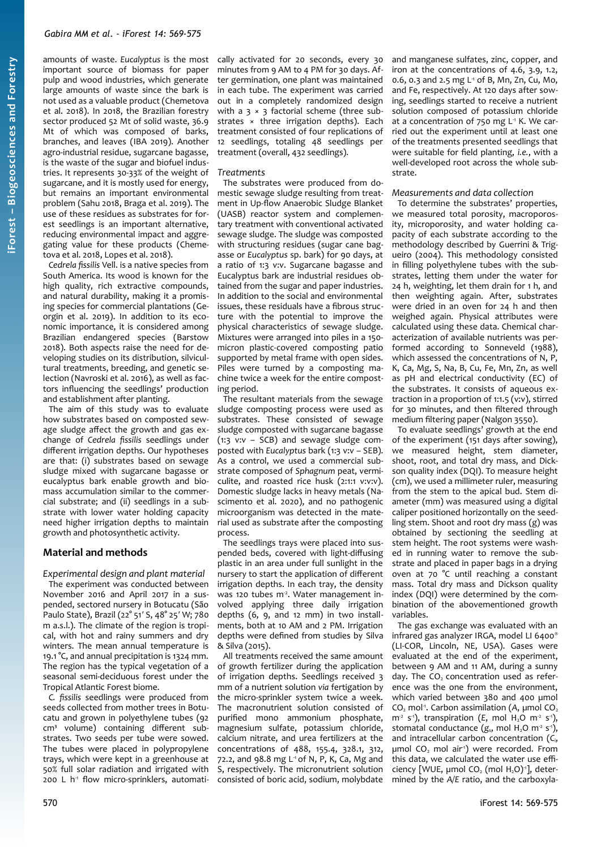amounts of waste. *Eucalyptus* is the most important source of biomass for paper pulp and wood industries, which generate large amounts of waste since the bark is not used as a valuable product (Chemetova et al. 2018). In 2018, the Brazilian forestry sector produced 52 Mt of solid waste, 36.9 Mt of which was composed of barks, branches, and leaves (IBA 2019). Another agro-industrial residue, sugarcane bagasse, is the waste of the sugar and biofuel industries. It represents 30-33% of the weight of sugarcane, and it is mostly used for energy, but remains an important environmental problem (Sahu 2018, Braga et al. 2019). The use of these residues as substrates for forest seedlings is an important alternative, reducing environmental impact and aggregating value for these products (Chemetova et al. 2018, Lopes et al. 2018).

*Cedrela fissilis* Vell. is a native species from South America. Its wood is known for the high quality, rich extractive compounds, and natural durability, making it a promising species for commercial plantations (Georgin et al. 2019). In addition to its economic importance, it is considered among Brazilian endangered species (Barstow 2018). Both aspects raise the need for developing studies on its distribution, silvicultural treatments, breeding, and genetic selection (Navroski et al. 2016), as well as factors influencing the seedlings' production and establishment after planting.

The aim of this study was to evaluate how substrates based on composted sewage sludge affect the growth and gas exchange of *Cedrela fissilis* seedlings under different irrigation depths. Our hypotheses are that: (i) substrates based on sewage sludge mixed with sugarcane bagasse or eucalyptus bark enable growth and biomass accumulation similar to the commercial substrate; and (ii) seedlings in a substrate with lower water holding capacity need higher irrigation depths to maintain growth and photosynthetic activity.

## **Material and methods**

*Experimental design and plant material* The experiment was conducted between November 2016 and April 2017 in a suspended, sectored nursery in Botucatu (São Paulo State), Brazil (22° 51′ S, 48° 25′ W; 780 m a.s.l.). The climate of the region is tropical, with hot and rainy summers and dry winters. The mean annual temperature is 19.1 °C, and annual precipitation is 1324 mm. The region has the typical vegetation of a seasonal semi-deciduous forest under the Tropical Atlantic Forest biome.

*C. fissilis* seedlings were produced from seeds collected from mother trees in Botucatu and grown in polyethylene tubes (92 cm<sup>3</sup> volume) containing different substrates. Two seeds per tube were sowed. The tubes were placed in polypropylene trays, which were kept in a greenhouse at 50% full solar radiation and irrigated with 200 L h<sup>1</sup> flow micro-sprinklers, automatically activated for 20 seconds, every 30 minutes from 9 AM to 4 PM for 30 days. After germination, one plant was maintained in each tube. The experiment was carried out in a completely randomized design with a  $3 \times 3$  factorial scheme (three substrates × three irrigation depths). Each treatment consisted of four replications of 12 seedlings, totaling 48 seedlings per treatment (overall, 432 seedlings).

#### *Treatments*

The substrates were produced from domestic sewage sludge resulting from treatment in Up-flow Anaerobic Sludge Blanket (UASB) reactor system and complementary treatment with conventional activated sewage sludge. The sludge was composted with structuring residues (sugar cane bagasse or *Eucalyptus* sp. bark) for 90 days, at a ratio of 1:3 v:v. Sugarcane bagasse and Eucalyptus bark are industrial residues obtained from the sugar and paper industries. In addition to the social and environmental issues, these residuals have a fibrous structure with the potential to improve the physical characteristics of sewage sludge. Mixtures were arranged into piles in a 150 micron plastic-covered composting patio supported by metal frame with open sides. Piles were turned by a composting machine twice a week for the entire composting period.

The resultant materials from the sewage sludge composting process were used as substrates. These consisted of sewage sludge composted with sugarcane bagasse (1:3 v:v – SCB) and sewage sludge composted with *Eucalyptus* bark (1:3 v:v – SEB). As a control, we used a commercial substrate composed of *Sphagnum* peat, vermiculite, and roasted rice husk (2:1:1 v:v:v). Domestic sludge lacks in heavy metals (Nascimento et al. 2020), and no pathogenic microorganism was detected in the material used as substrate after the composting process.

The seedlings trays were placed into suspended beds, covered with light-diffusing plastic in an area under full sunlight in the nursery to start the application of different irrigation depths. In each tray, the density was 120 tubes  $m<sup>2</sup>$ . Water management involved applying three daily irrigation depths (6, 9, and 12 mm) in two installments, both at 10 AM and 2 PM. Irrigation depths were defined from studies by Silva & Silva (2015).

All treatments received the same amount of growth fertilizer during the application of irrigation depths. Seedlings received 3 mm of a nutrient solution *via* fertigation by the micro-sprinkler system twice a week. The macronutrient solution consisted of purified mono ammonium phosphate, magnesium sulfate, potassium chloride, calcium nitrate, and urea fertilizers at the concentrations of 488, 155.4, 328.1, 312, 72.2, and 98.8 mg  $L^1$  of N, P, K, Ca, Mg and S, respectively. The micronutrient solution consisted of boric acid, sodium, molybdate

and manganese sulfates, zinc, copper, and iron at the concentrations of 4.6, 3.9, 1.2, 0.6, 0.3 and 2.5 mg L<sup>1</sup> of B, Mn, Zn, Cu, Mo, and Fe, respectively. At 120 days after sowing, seedlings started to receive a nutrient solution composed of potassium chloride at a concentration of  $750$  mg  $L<sup>1</sup>$  K. We carried out the experiment until at least one of the treatments presented seedlings that were suitable for field planting, *i.e.*, with a well-developed root across the whole substrate.

#### *Measurements and data collection*

To determine the substrates' properties, we measured total porosity, macroporosity, microporosity, and water holding capacity of each substrate according to the methodology described by Guerrini & Trigueiro (2004). This methodology consisted in filling polyethylene tubes with the substrates, letting them under the water for 24 h, weighting, let them drain for 1 h, and then weighting again. After, substrates were dried in an oven for 24 h and then weighed again. Physical attributes were calculated using these data. Chemical characterization of available nutrients was performed according to Sonneveld (1988), which assessed the concentrations of N, P, K, Ca, Mg, S, Na, B, Cu, Fe, Mn, Zn, as well as pH and electrical conductivity (EC) of the substrates. It consists of aqueous extraction in a proportion of 1:1.5 (v:v), stirred for 30 minutes, and then filtered through medium filtering paper (Nalgon 3550).

To evaluate seedlings' growth at the end of the experiment (151 days after sowing), we measured height, stem diameter, shoot, root, and total dry mass, and Dickson quality index (DQI). To measure height (cm), we used a millimeter ruler, measuring from the stem to the apical bud. Stem diameter (mm) was measured using a digital caliper positioned horizontally on the seedling stem. Shoot and root dry mass (g) was obtained by sectioning the seedling at stem height. The root systems were washed in running water to remove the substrate and placed in paper bags in a drying oven at 70 °C until reaching a constant mass. Total dry mass and Dickson quality index (DQI) were determined by the combination of the abovementioned growth variables.

The gas exchange was evaluated with an infrared gas analyzer IRGA, model LI 6400® (LI-COR, Lincoln, NE, USA). Gases were evaluated at the end of the experiment, between 9 AM and 11 AM, during a sunny day. The  $CO<sub>2</sub>$  concentration used as reference was the one from the environment, which varied between 380 and 400 µmol CO<sub>2</sub> mol<sup>-1</sup>. Carbon assimilation (A, umol CO<sub>2</sub>  $m<sup>2</sup>$  s<sup>-1</sup>), transpiration (*E*, mol H<sub>2</sub>O m<sup>-2</sup> s<sup>-1</sup>), stomatal conductance (*g<sub>s</sub>*, mol H<sub>2</sub>O m<sup>2</sup> s<sup>1</sup>), and intracellular carbon concentration (*C*i, µmol CO<sub>2</sub> mol air<sup>1</sup>) were recorded. From this data, we calculated the water use efficiency [WUE,  $\mu$ mol CO<sub>2</sub> (mol H<sub>2</sub>O)<sup>-1</sup>], determined by the *A/E* ratio, and the carboxyla-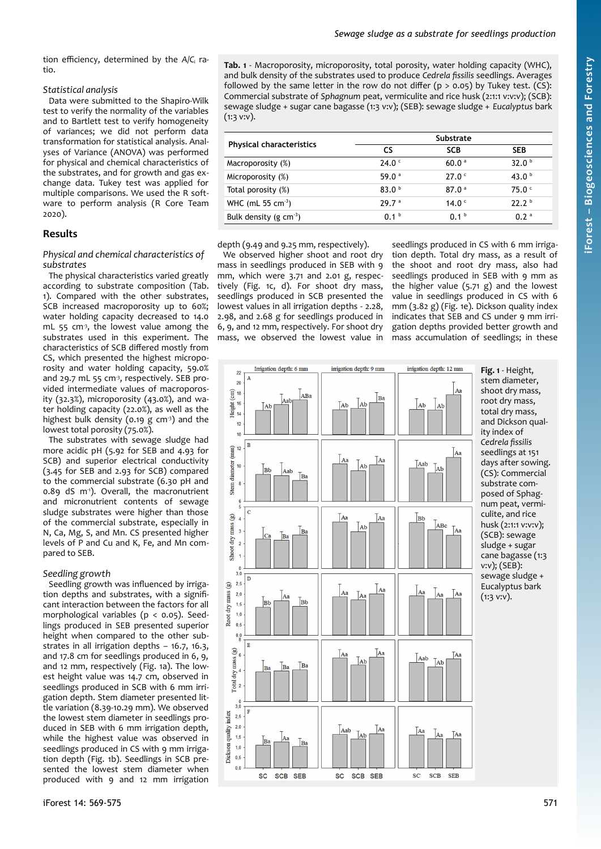tion efficiency, determined by the *A*/*C*<sup>i</sup> ratio.

# *Statistical analysis*

Data were submitted to the Shapiro-Wilk test to verify the normality of the variables and to Bartlett test to verify homogeneity of variances; we did not perform data transformation for statistical analysis. Analyses of Variance (ANOVA) was performed for physical and chemical characteristics of the substrates, and for growth and gas exchange data. Tukey test was applied for multiple comparisons. We used the R software to perform analysis (R Core Team 2020).

# **Results**

## *Physical and chemical characteristics of substrates*

The physical characteristics varied greatly according to substrate composition ([Tab.](#page-2-0) [1\)](#page-2-0). Compared with the other substrates, SCB increased macroporosity up to 60%; water holding capacity decreased to 14.0 mL 55  $cm<sup>3</sup>$ , the lowest value among the substrates used in this experiment. The characteristics of SCB differed mostly from CS, which presented the highest microporosity and water holding capacity, 59.0% and 29.7 mL 55 cm<sup>-3</sup>, respectively. SEB provided intermediate values of macroporosity (32.3%), microporosity (43.0%), and water holding capacity (22.0%), as well as the highest bulk density (0.19  $g$  cm<sup>-3</sup>) and the lowest total porosity (75.0%).

The substrates with sewage sludge had more acidic pH (5.92 for SEB and 4.93 for SCB) and superior electrical conductivity (3.45 for SEB and 2.93 for SCB) compared to the commercial substrate (6.30 pH and 0.89 dS m<sup>-1</sup>). Overall, the macronutrient and micronutrient contents of sewage sludge substrates were higher than those of the commercial substrate, especially in N, Ca, Mg, S, and Mn. CS presented higher levels of P and Cu and K, Fe, and Mn compared to SEB.

# *Seedling growth*

Seedling growth was influenced by irrigation depths and substrates, with a significant interaction between the factors for all morphological variables ( $p < 0.05$ ). Seedlings produced in SEB presented superior height when compared to the other substrates in all irrigation depths – 16.7, 16.3, and 17.8 cm for seedlings produced in 6, 9, and 12 mm, respectively [\(Fig. 1](#page-2-1)a). The lowest height value was 14.7 cm, observed in seedlings produced in SCB with 6 mm irrigation depth. Stem diameter presented little variation (8.39-10.29 mm). We observed the lowest stem diameter in seedlings produced in SEB with 6 mm irrigation depth, while the highest value was observed in seedlings produced in CS with 9 mm irrigation depth [\(Fig. 1](#page-2-1)b). Seedlings in SCB presented the lowest stem diameter when produced with 9 and 12 mm irrigation <span id="page-2-0"></span>**Tab. 1** - Macroporosity, microporosity, total porosity, water holding capacity (WHC), and bulk density of the substrates used to produce *Cedrela fissilis* seedlings. Averages followed by the same letter in the row do not differ ( $p > 0.05$ ) by Tukey test. (CS): Commercial substrate of *Sphagnum* peat, vermiculite and rice husk (2:1:1 v:v:v); (SCB): sewage sludge + sugar cane bagasse (1:3 v:v); (SEB): sewage sludge + *Eucalyptus* bark  $(1:3$  v:v).

| <b>Physical characteristics</b> | Substrate         |                   |                   |
|---------------------------------|-------------------|-------------------|-------------------|
|                                 | CS                | <b>SCB</b>        | <b>SEB</b>        |
| Macroporosity (%)               | 24.0 <sup>c</sup> | 60.0 <sup>a</sup> | 32.0 <sup>b</sup> |
| Microporosity (%)               | 59.0 $a$          | 27.0 <sup>c</sup> | 43.0 $b$          |
| Total porosity (%)              | 83.0 <sup>b</sup> | 87.0 <sup>a</sup> | 75.0 <sup>c</sup> |
| WHC (mL 55 cm <sup>3</sup> )    | 29.7 <sup>a</sup> | 14.0 $\degree$    | 22.2 <sup>b</sup> |
| Bulk density (g $cm^{-3}$ )     | 0.1 <sup>b</sup>  | 0.1 <sup>b</sup>  | 0.2 <sup>a</sup>  |
|                                 |                   |                   |                   |

depth (9.49 and 9.25 mm, respectively).

We observed higher shoot and root dry mass in seedlings produced in SEB with 9 mm, which were 3.71 and 2.01 g, respectively [\(Fig. 1c](#page-2-1), d). For shoot dry mass, seedlings produced in SCB presented the lowest values in all irrigation depths - 2.28, 2.98, and 2.68 g for seedlings produced in 6, 9, and 12 mm, respectively. For shoot dry mass, we observed the lowest value in

seedlings produced in CS with 6 mm irrigation depth. Total dry mass, as a result of the shoot and root dry mass, also had seedlings produced in SEB with 9 mm as the higher value  $(5.71 \text{ g})$  and the lowest value in seedlings produced in CS with 6 mm (3.82 g) [\(Fig. 1](#page-2-1)e). Dickson quality index indicates that SEB and CS under 9 mm irrigation depths provided better growth and mass accumulation of seedlings; in these



<span id="page-2-1"></span>**Fig. 1** - Height, stem diameter, shoot dry mass, root dry mass, total dry mass, and Dickson quality index of *Cedrela fissilis* seedlings at 151 days after sowing. (CS): Commercial substrate composed of Sphagnum peat, vermiculite, and rice husk (2:1:1 v:v:v); (SCB): sewage sludge + sugar cane bagasse (1:3 v:v); (SEB): sewage sludge + Eucalyptus bark  $(1:3$  v:v).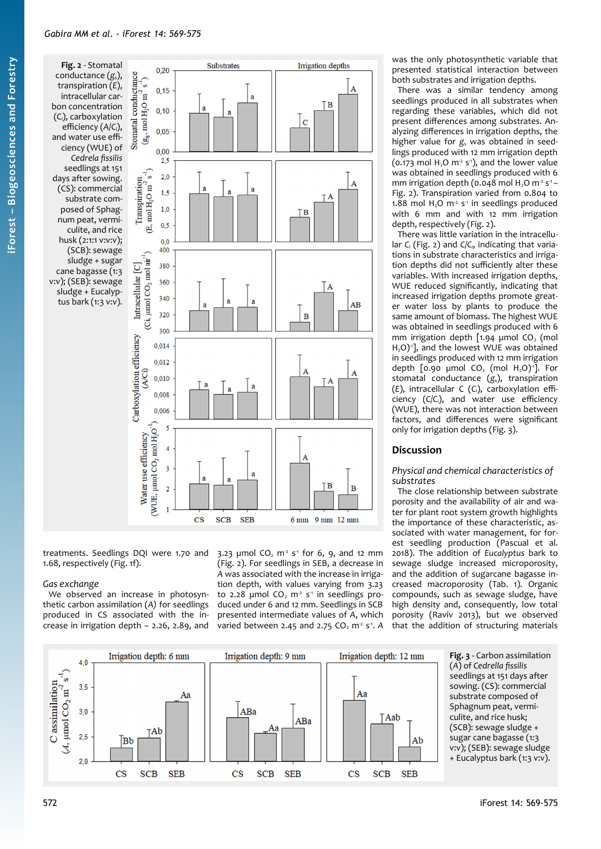<span id="page-3-1"></span>**Fig. 2** - Stomatal conductance (*g*s), transpiration (*E*), intracellular carbon concentration (*C*i), carboxylation efficiency (*A*/*C*i), and water use efficiency (WUE) of *Cedrela fissilis* seedlings at 151 days after sowing. (CS): commercial substrate composed of Sphagnum peat, vermiculite, and rice husk (2:1:1 v:v:v); (SCB): sewage sludge + sugar cane bagasse (1:3 v:v); (SEB): sewage sludge + Eucalyptus bark (1:3 v:v).



treatments. Seedlings DQI were 1.70 and 1.68, respectively ([Fig. 1](#page-2-1)f).

#### *Gas exchange*

We observed an increase in photosynthetic carbon assimilation (*A)* for seedlings produced in CS associated with the increase in irrigation depth – 2.26, 2.89, and

3.23  $\mu$ mol CO<sub>2</sub> m<sup>2</sup> s<sup>-1</sup> for 6, 9, and 12 mm ([Fig. 2](#page-3-1)). For seedlings in SEB, a decrease in *A* was associated with the increase in irrigation depth, with values varying from 3.23 to 2.28 µmol  $CO<sub>2</sub>$  m<sup>2</sup> s<sup>-1</sup> in seedlings produced under 6 and 12 mm. Seedlings in SCB presented intermediate values of *A*, which varied between 2.45 and 2.75  $CO<sub>2</sub>$  m<sup>2</sup> s<sup>-1</sup>. A

was the only photosynthetic variable that presented statistical interaction between both substrates and irrigation depths.

There was a similar tendency among seedlings produced in all substrates when regarding these variables, which did not present differences among substrates. Analyzing differences in irrigation depths, the higher value for  $g_s$  was obtained in seedlings produced with 12 mm irrigation depth (0.173 mol  $H_2O$  m<sup>2</sup> s<sup>-1</sup>), and the lower value was obtained in seedlings produced with 6 mm irrigation depth (0.048 mol  $H_2O$  m<sup>2</sup> s<sup>-1</sup> – [Fig. 2](#page-3-1)). Transpiration varied from 0.804 to 1.88 mol  $H_2O$  m<sup>-2</sup> s<sup>-1</sup> in seedlings produced with 6 mm and with 12 mm irrigation depth, respectively ([Fig. 2\)](#page-3-1).

There was little variation in the intracellular *C*<sup>i</sup> [\(Fig. 2](#page-3-1)) and *C*/*C*i, indicating that variations in substrate characteristics and irrigation depths did not sufficiently alter these variables. With increased irrigation depths, WUE reduced significantly, indicating that increased irrigation depths promote greater water loss by plants to produce the same amount of biomass. The highest WUE was obtained in seedlings produced with 6 mm irrigation depth  $[1.94 \mu]$  µmol CO<sub>2</sub> (mol H<sub>2</sub>O)<sup>1</sup>], and the lowest WUE was obtained in seedlings produced with 12 mm irrigation depth  $[0.90 \mu$ mol CO<sub>2</sub> (mol H<sub>2</sub>O)<sup>-1</sup>. For stomatal conductance (*g*s), transpiration (*E*), intracellular C (*C*i), carboxylation efficiency (*C*/*C*i), and water use efficiency (WUE), there was not interaction between factors, and differences were significant only for irrigation depths ([Fig. 3\)](#page-3-0).

# **Discussion**

#### *Physical and chemical characteristics of substrates*

<span id="page-3-0"></span>The close relationship between substrate porosity and the availability of air and water for plant root system growth highlights the importance of these characteristic, associated with water management, for forest seedling production (Pascual et al. 2018). The addition of *Eucalyptus* bark to sewage sludge increased microporosity, and the addition of sugarcane bagasse increased macroporosity ([Tab. 1](#page-2-0)). Organic compounds, such as sewage sludge, have high density and, consequently, low total porosity (Raviv 2013), but we observed that the addition of structuring materials

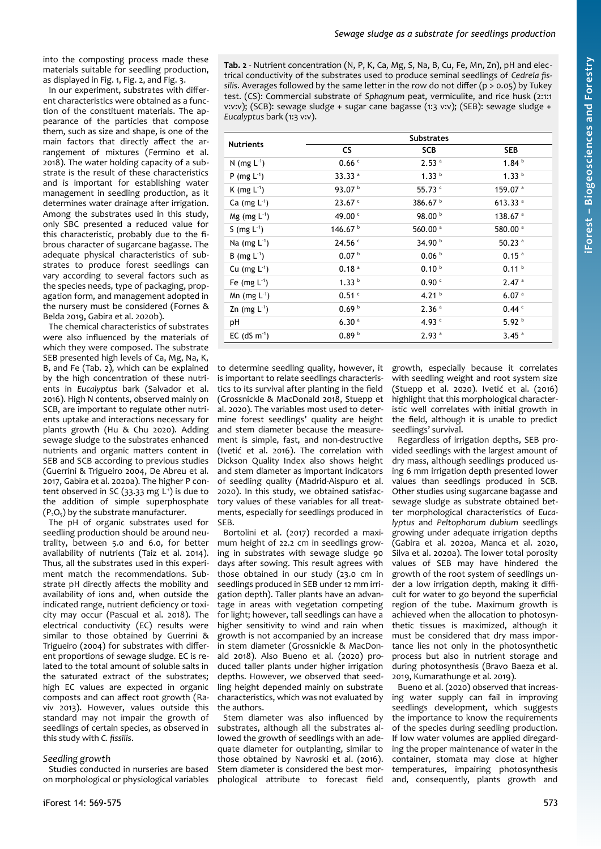into the composting process made these materials suitable for seedling production, as displayed in [Fig. 1](#page-2-1), [Fig. 2,](#page-3-1) and [Fig. 3](#page-3-0).

In our experiment, substrates with different characteristics were obtained as a function of the constituent materials. The appearance of the particles that compose them, such as size and shape, is one of the main factors that directly affect the arrangement of mixtures (Fermino et al. 2018). The water holding capacity of a substrate is the result of these characteristics and is important for establishing water management in seedling production, as it determines water drainage after irrigation. Among the substrates used in this study, only SBC presented a reduced value for this characteristic, probably due to the fibrous character of sugarcane bagasse. The adequate physical characteristics of substrates to produce forest seedlings can vary according to several factors such as the species needs, type of packaging, propagation form, and management adopted in the nursery must be considered (Fornes & Belda 2019, Gabira et al. 2020b).

The chemical characteristics of substrates were also influenced by the materials of which they were composed. The substrate SEB presented high levels of Ca, Mg, Na, K, B, and Fe ([Tab. 2\)](#page-4-0), which can be explained by the high concentration of these nutrients in *Eucalyptus* bark (Salvador et al. 2016). High N contents, observed mainly on SCB, are important to regulate other nutrients uptake and interactions necessary for plants growth (Hu & Chu 2020). Adding sewage sludge to the substrates enhanced nutrients and organic matters content in SEB and SCB according to previous studies (Guerrini & Trigueiro 2004, De Abreu et al. 2017, Gabira et al. 2020a). The higher P content observed in SC (33.33 mg L<sup>1</sup>) is due to the addition of simple superphosphate  $(P, O<sub>5</sub>)$  by the substrate manufacturer.

The pH of organic substrates used for seedling production should be around neutrality, between 5.0 and 6.0, for better availability of nutrients (Taiz et al. 2014). Thus, all the substrates used in this experiment match the recommendations. Substrate pH directly affects the mobility and availability of ions and, when outside the indicated range, nutrient deficiency or toxicity may occur (Pascual et al. 2018). The electrical conductivity (EC) results were similar to those obtained by Guerrini & Trigueiro (2004) for substrates with different proportions of sewage sludge. EC is related to the total amount of soluble salts in the saturated extract of the substrates; high EC values are expected in organic composts and can affect root growth (Raviv 2013). However, values outside this standard may not impair the growth of seedlings of certain species, as observed in this study with *C. fissilis*.

#### *Seedling growth*

Studies conducted in nurseries are based on morphological or physiological variables <span id="page-4-0"></span>**Tab. 2** - Nutrient concentration (N, P, K, Ca, Mg, S, Na, B, Cu, Fe, Mn, Zn), pH and electrical conductivity of the substrates used to produce seminal seedlings of *Cedrela fissilis*. Averages followed by the same letter in the row do not differ ( $p > 0.05$ ) by Tukey test. (CS): Commercial substrate of *Sphagnum* peat, vermiculite, and rice husk (2:1:1 v:v:v); (SCB): sewage sludge + sugar cane bagasse (1:3 v:v); (SEB): sewage sludge + *Eucalyptus* bark (1:3 v:v).

| <b>Nutrients</b>           | <b>Substrates</b>   |                     |                     |  |
|----------------------------|---------------------|---------------------|---------------------|--|
|                            | <b>CS</b>           | <b>SCB</b>          | <b>SEB</b>          |  |
| N (mg $L^{-1}$ )           | 0.66c               | 2.53 <sup>a</sup>   | 1.84 <sup>b</sup>   |  |
| P (mg $L^{-1}$ )           | 33.33 <sup>a</sup>  | 1.33 <sup>b</sup>   | 1.33 <sup>b</sup>   |  |
| K (mg $L^{-1}$ )           | 93.07 $b$           | 55.73 $C$           | 159.07 <sup>a</sup> |  |
| Ca $(mg L1)$               | $23.67$ $\degree$   | 386.67 $b$          | 613.33 $a$          |  |
| $Mg$ (mg L <sup>-1</sup> ) | 49.00 <sup>c</sup>  | 98.00 <sup>b</sup>  | 138.67 $a$          |  |
| S (mg $L^{-1}$ )           | 146.67 <sup>b</sup> | 560.00 <sup>a</sup> | 580.00 <sup>a</sup> |  |
| Na (mg $L^1$ )             | 24.56 <sup>c</sup>  | 34.90 <sup>b</sup>  | 50.23 $a$           |  |
| B (mg $L^{-1}$ )           | 0.07 <sup>b</sup>   | 0.06 <sup>b</sup>   | 0.15 <sup>a</sup>   |  |
| Cu (mg $L^1$ )             | 0.18 <sup>a</sup>   | 0.10 <sup>b</sup>   | 0.11 <sup>b</sup>   |  |
| Fe (mg $L^1$ )             | 1.33 <sup>b</sup>   | 0.90C               | 2.47 <sup>a</sup>   |  |
| Mn (mg $L^{-1}$ )          | 0.51 <sup>c</sup>   | 4.21 $b$            | 6.07 <sup>a</sup>   |  |
| Zn (mg $L^1$ )             | 0.69 <sup>b</sup>   | 2.36 <sup>a</sup>   | 0.44C               |  |
| рH                         | 6.30 <sup>a</sup>   | 4.93 $c$            | 5.92 <sup>b</sup>   |  |
| EC $(dS m-1)$              | 0.89 <sup>b</sup>   | 2.93 <sup>a</sup>   | 3.45 <sup>a</sup>   |  |

to determine seedling quality, however, it is important to relate seedlings characteristics to its survival after planting in the field (Grossnickle & MacDonald 2018, Stuepp et al. 2020). The variables most used to determine forest seedlings' quality are height and stem diameter because the measurement is simple, fast, and non-destructive (Ivetić et al. 2016). The correlation with Dickson Quality Index also shows height and stem diameter as important indicators of seedling quality (Madrid-Aispuro et al. 2020). In this study, we obtained satisfactory values of these variables for all treatments, especially for seedlings produced in SEB.

Bortolini et al. (2017) recorded a maximum height of 22.2 cm in seedlings growing in substrates with sewage sludge 90 days after sowing. This result agrees with those obtained in our study (23.0 cm in seedlings produced in SEB under 12 mm irrigation depth). Taller plants have an advantage in areas with vegetation competing for light; however, tall seedlings can have a higher sensitivity to wind and rain when growth is not accompanied by an increase in stem diameter (Grossnickle & MacDonald 2018). Also Bueno et al. (2020) produced taller plants under higher irrigation depths. However, we observed that seedling height depended mainly on substrate characteristics, which was not evaluated by the authors.

Stem diameter was also influenced by substrates, although all the substrates allowed the growth of seedlings with an adequate diameter for outplanting, similar to those obtained by Navroski et al. (2016). Stem diameter is considered the best morphological attribute to forecast field growth, especially because it correlates with seedling weight and root system size (Stuepp et al. 2020). Ivetić et al. (2016) highlight that this morphological characteristic well correlates with initial growth in the field, although it is unable to predict seedlings' survival.

Regardless of irrigation depths, SEB provided seedlings with the largest amount of dry mass, although seedlings produced using 6 mm irrigation depth presented lower values than seedlings produced in SCB. Other studies using sugarcane bagasse and sewage sludge as substrate obtained better morphological characteristics of *Eucalyptus* and *Peltophorum dubium* seedlings growing under adequate irrigation depths (Gabira et al. 2020a, Manca et al. 2020, Silva et al. 2020a). The lower total porosity values of SEB may have hindered the growth of the root system of seedlings under a low irrigation depth, making it difficult for water to go beyond the superficial region of the tube. Maximum growth is achieved when the allocation to photosynthetic tissues is maximized, although it must be considered that dry mass importance lies not only in the photosynthetic process but also in nutrient storage and during photosynthesis (Bravo Baeza et al. 2019, Kumarathunge et al. 2019).

Bueno et al. (2020) observed that increasing water supply can fail in improving seedlings development, which suggests the importance to know the requirements of the species during seedling production. If low water volumes are applied diregarding the proper maintenance of water in the container, stomata may close at higher temperatures, impairing photosynthesis and, consequently, plants growth and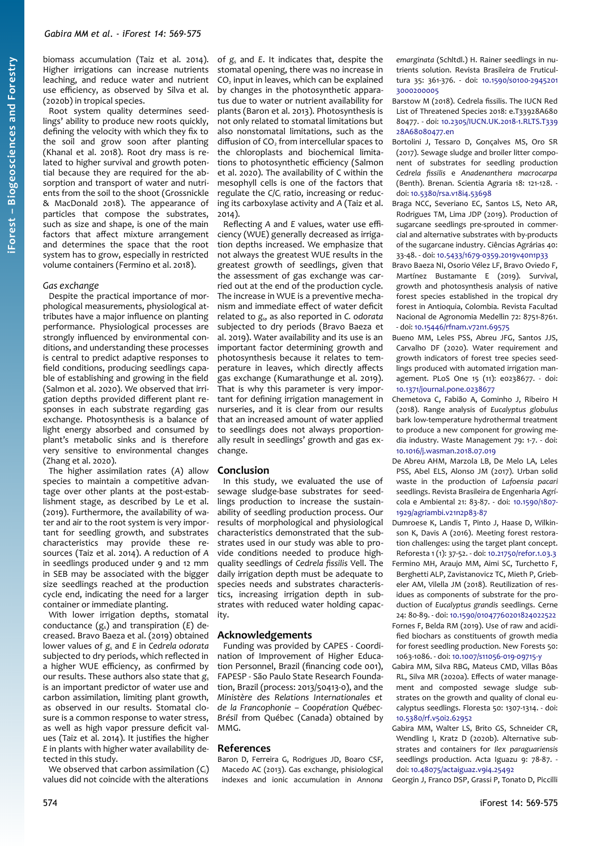biomass accumulation (Taiz et al. 2014). Higher irrigations can increase nutrients leaching, and reduce water and nutrient use efficiency, as observed by Silva et al. (2020b) in tropical species.

Root system quality determines seedlings' ability to produce new roots quickly, defining the velocity with which they fix to the soil and grow soon after planting (Khanal et al. 2018). Root dry mass is related to higher survival and growth potential because they are required for the absorption and transport of water and nutrients from the soil to the shoot (Grossnickle & MacDonald 2018). The appearance of particles that compose the substrates, such as size and shape, is one of the main factors that affect mixture arrangement and determines the space that the root system has to grow, especially in restricted volume containers (Fermino et al. 2018).

#### *Gas exchange*

Despite the practical importance of morphological measurements, physiological attributes have a major influence on planting performance. Physiological processes are strongly influenced by environmental conditions, and understanding these processes is central to predict adaptive responses to field conditions, producing seedlings capable of establishing and growing in the field (Salmon et al. 2020). We observed that irrigation depths provided different plant responses in each substrate regarding gas exchange. Photosynthesis is a balance of light energy absorbed and consumed by plant's metabolic sinks and is therefore very sensitive to environmental changes (Zhang et al. 2020).

The higher assimilation rates (*A*) allow species to maintain a competitive advantage over other plants at the post-establishment stage, as described by Le et al. (2019). Furthermore, the availability of water and air to the root system is very important for seedling growth, and substrates characteristics may provide these resources (Taiz et al. 2014). A reduction of *A* in seedlings produced under 9 and 12 mm in SEB may be associated with the bigger size seedlings reached at the production cycle end, indicating the need for a larger container or immediate planting.

With lower irrigation depths, stomatal conductance (gs) and transpiration (*E*) decreased. Bravo Baeza et al. (2019) obtained lower values of *g*<sup>s</sup> and *E* in *Cedrela odorata* subjected to dry periods, which reflected in a higher WUE efficiency, as confirmed by our results. These authors also state that g. is an important predictor of water use and carbon assimilation, limiting plant growth, as observed in our results. Stomatal closure is a common response to water stress, as well as high vapor pressure deficit values (Taiz et al. 2014). It justifies the higher *E* in plants with higher water availability detected in this study.

We observed that carbon assimilation (*C*i) values did not coincide with the alterations

of *g*<sup>s</sup> and *E*. It indicates that, despite the stomatal opening, there was no increase in CO2 input in leaves, which can be explained by changes in the photosynthetic apparatus due to water or nutrient availability for plants (Baron et al. 2013). Photosynthesis is not only related to stomatal limitations but also nonstomatal limitations, such as the diffusion of CO<sub>2</sub> from intercellular spaces to the chloroplasts and biochemical limitations to photosynthetic efficiency (Salmon et al. 2020). The availability of C within the mesophyll cells is one of the factors that regulate the C/C<sub>i</sub> ratio, increasing or reducing its carboxylase activity and *A* (Taiz et al. 2014).

Reflecting *A* and *E* values, water use efficiency (WUE) generally decreased as irrigation depths increased. We emphasize that not always the greatest WUE results in the greatest growth of seedlings, given that the assessment of gas exchange was carried out at the end of the production cycle. The increase in WUE is a preventive mechanism and immediate effect of water deficit related to *g*s, as also reported in *C. odorata* subjected to dry periods (Bravo Baeza et al. 2019). Water availability and its use is an important factor determining growth and photosynthesis because it relates to temperature in leaves, which directly affects gas exchange (Kumarathunge et al. 2019). That is why this parameter is very important for defining irrigation management in nurseries, and it is clear from our results that an increased amount of water applied to seedlings does not always proportionally result in seedlings' growth and gas exchange.

#### **Conclusion**

In this study, we evaluated the use of sewage sludge-base substrates for seedlings production to increase the sustainability of seedling production process. Our results of morphological and physiological characteristics demonstrated that the substrates used in our study was able to provide conditions needed to produce highquality seedlings of *Cedrela fissilis* Vell. The daily irrigation depth must be adequate to species needs and substrates characteristics, increasing irrigation depth in substrates with reduced water holding capacity.

#### **Acknowledgements**

Funding was provided by CAPES - Coordination of Improvement of Higher Education Personnel, Brazil (financing code 001), FAPESP - São Paulo State Research Foundation, Brazil (process: 2013/50413-0), and the *Ministère des Relations Internationales et de la Francophonie – Coopération Québec-Brésil* from Québec (Canada) obtained by MMG.

#### **References**

Baron D, Ferreira G, Rodrigues JD, Boaro CSF, Macedo AC (2013). Gas exchange, phisiological indexes and ionic accumulation in *Annona* *emarginata* (Schltdl.) H. Rainer seedlings in nutrients solution. Revista Brasileira de Fruticultura 35: 361-376. - doi: [10.1590/s0100-2945201](https://doi.org/10.1590/s0100-29452013000200005) [3000200005](https://doi.org/10.1590/s0100-29452013000200005)

Barstow M (2018). Cedrela fissilis. The IUCN Red List of Threatened Species 2018: e.T33928A680 80477. - doi: [10.2305/IUCN.UK.2018-1.RLTS.T339](https://doi.org/10.2305/IUCN.UK.2018-1.RLTS.T33928A68080477.en) [28A68080477.en](https://doi.org/10.2305/IUCN.UK.2018-1.RLTS.T33928A68080477.en)

- Bortolini J, Tessaro D, Gonçalves MS, Oro SR (2017). Sewage sludge and broiler litter component of substrates for seedling production *Cedrela fissilis* e *Anadenanthera macrocarpa* (Benth). Brenan. Scientia Agraria 18: 121-128. doi: [10.5380/rsa.v18i4.53698](https://doi.org/10.5380/rsa.v18i4.53698)
- Braga NCC, Severiano EC, Santos LS, Neto AR, Rodrigues TM, Lima JDP (2019). Production of sugarcane seedlings pre-sprouted in commercial and alternative substrates with by-products of the sugarcane industry. Ciências Agrárias 40: 33-48. - doi: [10.5433/1679-0359.2019v40n1p33](https://doi.org/10.5433/1679-0359.2019v40n1p33)
- Bravo Baeza NI, Osorio Vélez LF, Bravo Oviedo F, Martínez Bustamante E (2019). Survival, growth and photosynthesis analysis of native forest species established in the tropical dry forest in Antioquia, Colombia. Revista Facultad Nacional de Agronomia Medellin 72: 8751-8761. - doi: [10.15446/rfnam.v72n1.69575](https://doi.org/10.15446/rfnam.v72n1.69575)
- Bueno MM, Leles PSS, Abreu JFG, Santos JJS, Carvalho DF (2020). Water requirement and growth indicators of forest tree species seedlings produced with automated irrigation management. PLoS One 15 (11): e0238677. - doi: [10.1371/journal.pone.0238677](https://doi.org/10.1371/journal.pone.0238677)
- Chemetova C, Fabião A, Gominho J, Ribeiro H (2018). Range analysis of *Eucalyptus globulus* bark low-temperature hydrothermal treatment to produce a new component for growing media industry. Waste Management 79: 1-7. - doi: [10.1016/j.wasman.2018.07.019](https://doi.org/10.1016/j.wasman.2018.07.019)
- De Abreu AHM, Marzola LB, De Melo LA, Leles PSS, Abel ELS, Alonso JM (2017). Urban solid waste in the production of *Lafoensia pacari* seedlings. Revista Brasileira de Engenharia Agrícola e Ambiental 21: 83-87. - doi: [10.1590/1807-](https://doi.org/10.1590/1807-1929/agriambi.v21n2p83-87) [1929/agriambi.v21n2p83-87](https://doi.org/10.1590/1807-1929/agriambi.v21n2p83-87)
- Dumroese K, Landis T, Pinto J, Haase D, Wilkinson K, Davis A (2016). Meeting forest restoration challenges: using the target plant concept. Reforesta 1 (1): 37-52. - doi: [10.21750/refor.1.03.3](https://doi.org/10.21750/refor.1.03.3) Fermino MH, Araujo MM, Aimi SC, Turchetto F, Berghetti ALP, Zavistanovicz TC, Mieth P, Griebeler AM, Vilella JM (2018). Reutilization of residues as components of substrate for the production of *Eucalyptus grandis* seedlings. Cerne 24: 80-89. - doi: [10.1590/01047760201824022522](https://doi.org/10.1590/01047760201824022522) Fornes F, Belda RM (2019). Use of raw and acidified biochars as constituents of growth media
- for forest seedling production. New Forests 50: 1063-1086. - doi: [10.1007/s11056-019-09715-y](https://doi.org/10.1007/s11056-019-09715-y)
- Gabira MM, Silva RBG, Mateus CMD, Villas Bôas RL, Silva MR (2020a). Effects of water management and composted sewage sludge substrates on the growth and quality of clonal eucalyptus seedlings. Floresta 50: 1307-1314. - doi: [10.5380/rf.v50i2.62952](https://doi.org/10.5380/rf.v50i2.62952)
- Gabira MM, Walter LS, Brito GS, Schneider CR, Wendling I, Kratz D (2020b). Alternative substrates and containers for *Ilex paraguariensis* seedlings production. Acta Iguazu 9: 78-87. doi: [10.48075/actaiguaz.v9i4.25492](https://doi.org/10.48075/actaiguaz.v9i4.25492)

Georgin J, Franco DSP, Grassi P, Tonato D, Piccilli